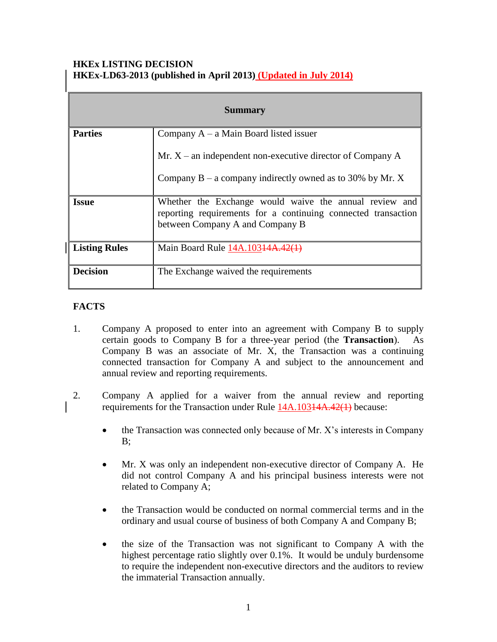## **HKEx LISTING DECISION HKEx-LD63-2013 (published in April 2013) (Updated in July 2014)**

| <b>Summary</b>       |                                                                                                                                                            |
|----------------------|------------------------------------------------------------------------------------------------------------------------------------------------------------|
| <b>Parties</b>       | Company $A - a$ Main Board listed issuer                                                                                                                   |
|                      | Mr. $X$ – an independent non-executive director of Company A                                                                                               |
|                      | Company $B - a$ company indirectly owned as to 30% by Mr. X                                                                                                |
| <b>Issue</b>         | Whether the Exchange would waive the annual review and<br>reporting requirements for a continuing connected transaction<br>between Company A and Company B |
| <b>Listing Rules</b> | Main Board Rule 14A.103 <del>14A.42(1)</del>                                                                                                               |
| <b>Decision</b>      | The Exchange waived the requirements                                                                                                                       |

# **FACTS**

- 1. Company A proposed to enter into an agreement with Company B to supply certain goods to Company B for a three-year period (the **Transaction**). As Company B was an associate of Mr. X, the Transaction was a continuing connected transaction for Company A and subject to the announcement and annual review and reporting requirements.
- 2. Company A applied for a waiver from the annual review and reporting requirements for the Transaction under Rule 14A.103<del>14A.42(1)</del> because:
	- the Transaction was connected only because of Mr. X's interests in Company B;
	- Mr. X was only an independent non-executive director of Company A. He did not control Company A and his principal business interests were not related to Company A;
	- the Transaction would be conducted on normal commercial terms and in the ordinary and usual course of business of both Company A and Company B;
	- the size of the Transaction was not significant to Company A with the highest percentage ratio slightly over 0.1%. It would be unduly burdensome to require the independent non-executive directors and the auditors to review the immaterial Transaction annually.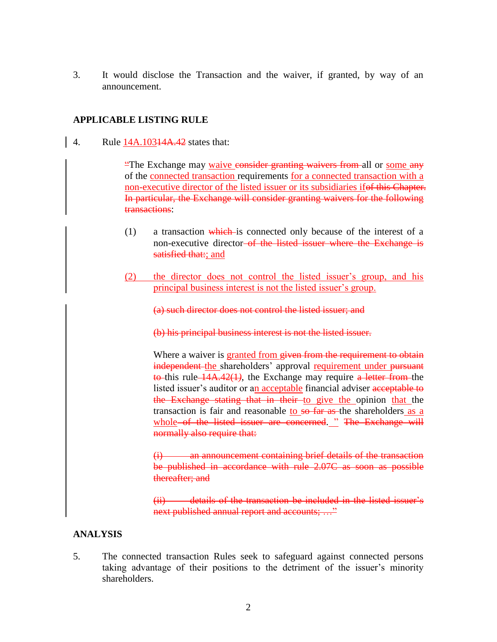3. It would disclose the Transaction and the waiver, if granted, by way of an announcement.

## **APPLICABLE LISTING RULE**

4. Rule 14A.10314A.42 states that:

"The Exchange may waive consider granting waivers from all or some any of the connected transaction requirements for a connected transaction with a non-executive director of the listed issuer or its subsidiaries ifof this Chapter. In particular, the Exchange will consider granting waivers for the following transactions:

- $(1)$  a transaction which is connected only because of the interest of a non-executive director of the listed issuer where the Exchange is satisfied that:; and
- (2) the director does not control the listed issuer's group, and his principal business interest is not the listed issuer's group.

(a) such director does not control the listed issuer; and

(b) his principal business interest is not the listed issuer.

Where a waiver is granted from given from the requirement to obtain independent the shareholders' approval requirement under pursuant to this rule 14A.42(1*)*, the Exchange may require a letter from the listed issuer's auditor or an acceptable financial adviser acceptable to the Exchange stating that in their to give the opinion that the transaction is fair and reasonable to so far as the shareholders as a whole of the listed issuer are concerned. " The Exchange will normally also require that:

an announcement containing brief details of the transaction be published in accordance with rule 2.07C as soon as possible thereafter; and

(ii) details of the transaction be included in the listed issuer's next published annual report and accounts; ..."

#### **ANALYSIS**

5. The connected transaction Rules seek to safeguard against connected persons taking advantage of their positions to the detriment of the issuer's minority shareholders.